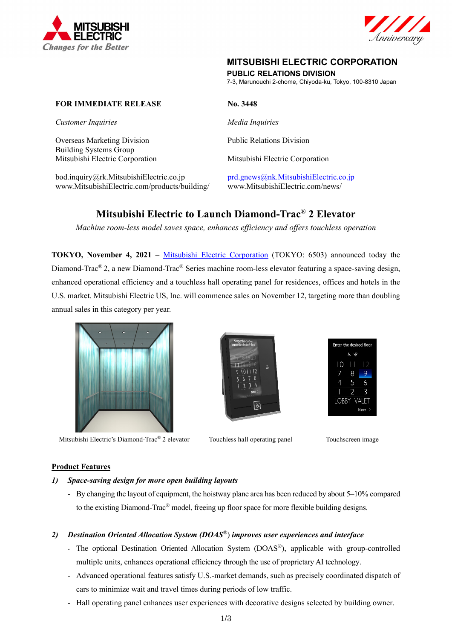



# **MITSUBISHI ELECTRIC CORPORATION**

**PUBLIC RELATIONS DIVISION** 

7-3, Marunouchi 2-chome, Chiyoda-ku, Tokyo, 100-8310 Japan

# **FOR IMMEDIATE RELEASE No. 3448**

*Customer Inquiries* Media Inquiries

Overseas Marketing Division<br>
Public Relations Division Building Systems Group Mitsubishi Electric Corporation Mitsubishi Electric Corporation

bod.inquiry@rk.MitsubishiElectric.co.jp prd.gnews@nk.MitsubishiElectric.co.jp www.MitsubishiElectric.com/products/building/ www.MitsubishiElectric.com/news/

# **Mitsubishi Electric to Launch Diamond-Trac**® **2 Elevator**

*Machine room-less model saves space, enhances efficiency and offers touchless operation* 

**TOKYO, November 4, 2021** – Mitsubishi Electric Corporation (TOKYO: 6503) announced today the Diamond-Trac® 2, a new Diamond-Trac® Series machine room-less elevator featuring a space-saving design, enhanced operational efficiency and a touchless hall operating panel for residences, offices and hotels in the U.S. market. Mitsubishi Electric US, Inc. will commence sales on November 12, targeting more than doubling annual sales in this category per year.



Mitsubishi Electric's Diamond-Trac<sup>®</sup> 2 elevator Touchless hall operating panel Touchscreen image





# **Product Features**

#### *1) Space-saving design for more open building layouts*

- By changing the layout of equipment, the hoistway plane area has been reduced by about 5–10% compared to the existing Diamond-Trac® model, freeing up floor space for more flexible building designs.

# *2) Destination Oriented Allocation System (DOAS*®) *improves user experiences and interface*

- The optional Destination Oriented Allocation System (DOAS®), applicable with group-controlled multiple units, enhances operational efficiency through the use of proprietary AI technology.
- Advanced operational features satisfy U.S.-market demands, such as precisely coordinated dispatch of cars to minimize wait and travel times during periods of low traffic.
- Hall operating panel enhances user experiences with decorative designs selected by building owner.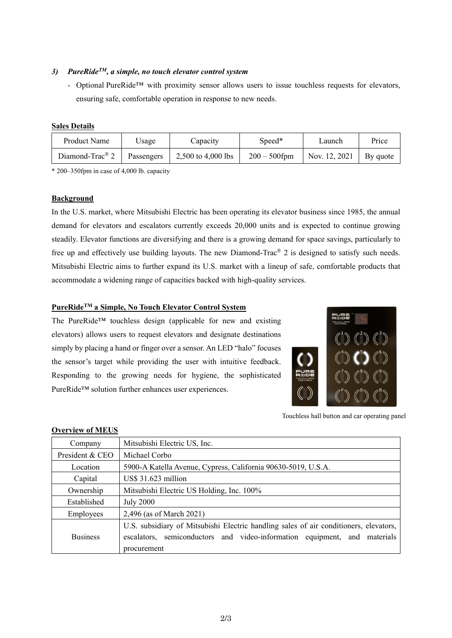# *3) PureRideTM, a simple, no touch elevator control system*

- Optional PureRide™ with proximity sensor allows users to issue touchless requests for elevators, ensuring safe, comfortable operation in response to new needs.

#### **Sales Details**

| Product Name                  | $\cup$ sage | Capacity           | Speed*          | ∟aunch        | Price    |
|-------------------------------|-------------|--------------------|-----------------|---------------|----------|
| Diamond-Trac $^{\circledR}$ 2 | Passengers  | 2,500 to 4,000 lbs | $200 - 500$ fpm | Nov. 12, 2021 | By quote |

\* 200–350fpm in case of 4,000 lb. capacity

#### **Background**

In the U.S. market, where Mitsubishi Electric has been operating its elevator business since 1985, the annual demand for elevators and escalators currently exceeds 20,000 units and is expected to continue growing steadily. Elevator functions are diversifying and there is a growing demand for space savings, particularly to free up and effectively use building layouts. The new Diamond-Trac® 2 is designed to satisfy such needs. Mitsubishi Electric aims to further expand its U.S. market with a lineup of safe, comfortable products that accommodate a widening range of capacities backed with high-quality services.

# **PureRideTM a Simple, No Touch Elevator Control System**

The PureRide™ touchless design (applicable for new and existing elevators) allows users to request elevators and designate destinations simply by placing a hand or finger over a sensor. An LED "halo" focuses the sensor's target while providing the user with intuitive feedback. Responding to the growing needs for hygiene, the sophisticated PureRide™ solution further enhances user experiences.



Touchless hall button and car operating panel

| Company         | Mitsubishi Electric US, Inc.                                                                                                                                                         |  |  |  |
|-----------------|--------------------------------------------------------------------------------------------------------------------------------------------------------------------------------------|--|--|--|
| President & CEO | Michael Corbo                                                                                                                                                                        |  |  |  |
| Location        | 5900-A Katella Avenue, Cypress, California 90630-5019, U.S.A.                                                                                                                        |  |  |  |
| Capital         | US\$ 31.623 million                                                                                                                                                                  |  |  |  |
| Ownership       | Mitsubishi Electric US Holding, Inc. 100%                                                                                                                                            |  |  |  |
| Established     | <b>July 2000</b>                                                                                                                                                                     |  |  |  |
| Employees       | 2,496 (as of March 2021)                                                                                                                                                             |  |  |  |
| <b>Business</b> | U.S. subsidiary of Mitsubishi Electric handling sales of air conditioners, elevators,<br>semiconductors and video-information equipment, and materials<br>escalators.<br>procurement |  |  |  |

# **Overview of MEUS**